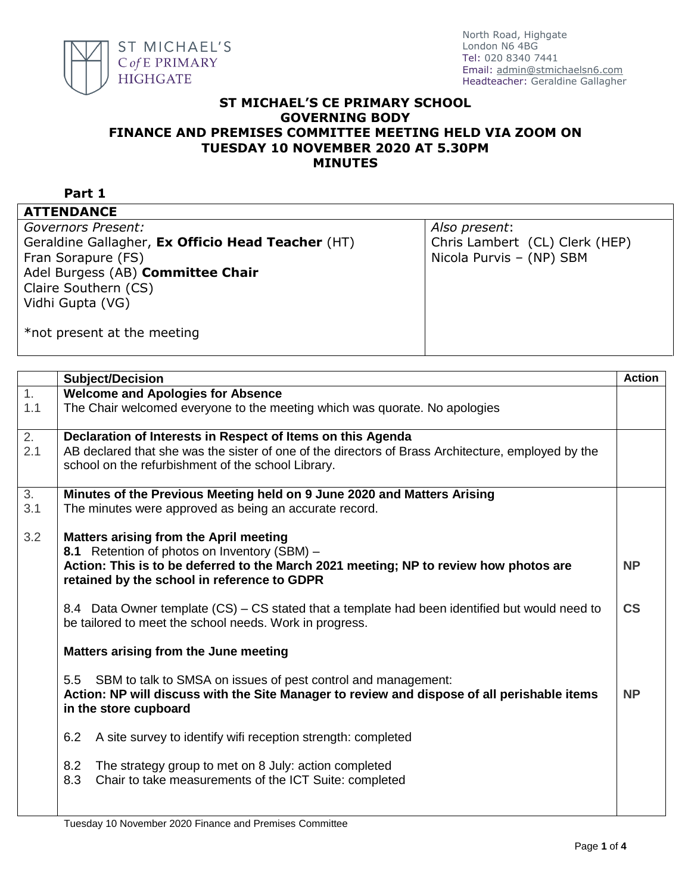

## **ST MICHAEL'S CE PRIMARY SCHOOL GOVERNING BODY FINANCE AND PREMISES COMMITTEE MEETING HELD VIA ZOOM ON TUESDAY 10 NOVEMBER 2020 AT 5.30PM MINUTES**

**Part 1**

**ATTENDANCE**

*Governors Present:*

Geraldine Gallagher, **Ex Officio Head Teacher** (HT) Fran Sorapure (FS) Adel Burgess (AB) **Committee Chair** Claire Southern (CS) Vidhi Gupta (VG)

*Also present*: Chris Lambert (CL) Clerk (HEP) Nicola Purvis – (NP) SBM

\*not present at the meeting

|                  | <b>Subject/Decision</b>                                                                                                                                   | <b>Action</b>            |
|------------------|-----------------------------------------------------------------------------------------------------------------------------------------------------------|--------------------------|
| $\overline{1}$ . | <b>Welcome and Apologies for Absence</b>                                                                                                                  |                          |
| 1.1              | The Chair welcomed everyone to the meeting which was quorate. No apologies                                                                                |                          |
| $\overline{2}$ . | Declaration of Interests in Respect of Items on this Agenda                                                                                               |                          |
| 2.1              | AB declared that she was the sister of one of the directors of Brass Architecture, employed by the<br>school on the refurbishment of the school Library.  |                          |
|                  |                                                                                                                                                           |                          |
| 3.<br>3.1        | Minutes of the Previous Meeting held on 9 June 2020 and Matters Arising                                                                                   |                          |
|                  | The minutes were approved as being an accurate record.                                                                                                    |                          |
| 3.2              | <b>Matters arising from the April meeting</b>                                                                                                             |                          |
|                  | 8.1 Retention of photos on Inventory (SBM) -                                                                                                              |                          |
|                  | Action: This is to be deferred to the March 2021 meeting; NP to review how photos are                                                                     | <b>NP</b>                |
|                  | retained by the school in reference to GDPR                                                                                                               |                          |
|                  |                                                                                                                                                           |                          |
|                  | 8.4 Data Owner template (CS) – CS stated that a template had been identified but would need to<br>be tailored to meet the school needs. Work in progress. | $\mathsf{CS}\phantom{0}$ |
|                  | Matters arising from the June meeting                                                                                                                     |                          |
|                  | 5.5 SBM to talk to SMSA on issues of pest control and management:                                                                                         |                          |
|                  | Action: NP will discuss with the Site Manager to review and dispose of all perishable items<br>in the store cupboard                                      | <b>NP</b>                |
|                  | 6.2<br>A site survey to identify wifi reception strength: completed                                                                                       |                          |
|                  | 8.2<br>The strategy group to met on 8 July: action completed<br>8.3<br>Chair to take measurements of the ICT Suite: completed                             |                          |
|                  |                                                                                                                                                           |                          |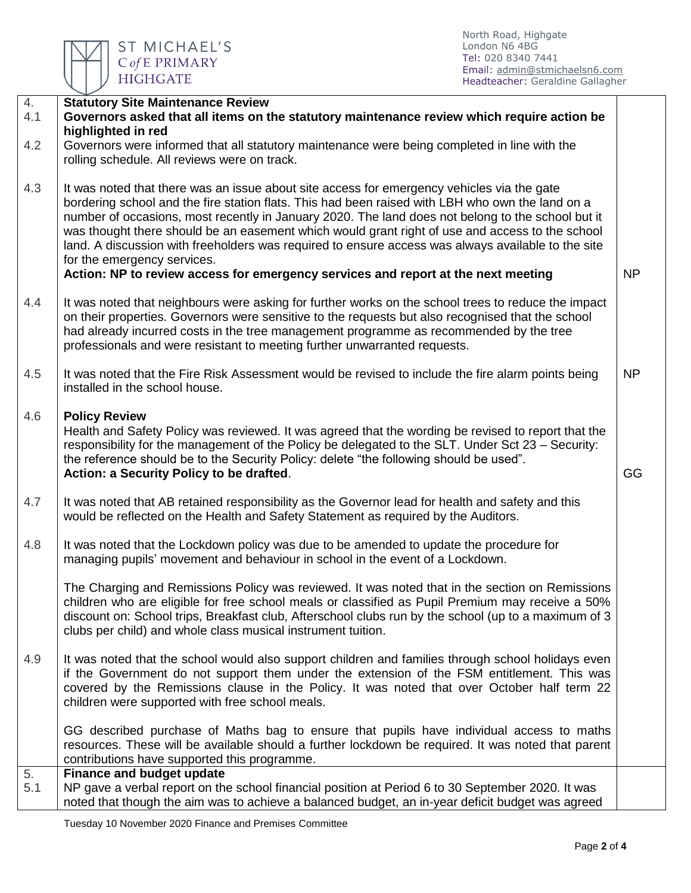

North Road, Highgate London N6 4BG Tel: 020 8340 7441 Email: [admin@stmichaelsn6.com](mailto:admin@stmichaelsn6.com) Headteacher: Geraldine Gallagher

| 4.<br>4.1 | <b>Statutory Site Maintenance Review</b><br>Governors asked that all items on the statutory maintenance review which require action be                                                                                                                                                                                                                                                                                                                                                                                                                                                                                           |           |
|-----------|----------------------------------------------------------------------------------------------------------------------------------------------------------------------------------------------------------------------------------------------------------------------------------------------------------------------------------------------------------------------------------------------------------------------------------------------------------------------------------------------------------------------------------------------------------------------------------------------------------------------------------|-----------|
|           | highlighted in red                                                                                                                                                                                                                                                                                                                                                                                                                                                                                                                                                                                                               |           |
| 4.2       | Governors were informed that all statutory maintenance were being completed in line with the<br>rolling schedule. All reviews were on track.                                                                                                                                                                                                                                                                                                                                                                                                                                                                                     |           |
| 4.3       | It was noted that there was an issue about site access for emergency vehicles via the gate<br>bordering school and the fire station flats. This had been raised with LBH who own the land on a<br>number of occasions, most recently in January 2020. The land does not belong to the school but it<br>was thought there should be an easement which would grant right of use and access to the school<br>land. A discussion with freeholders was required to ensure access was always available to the site<br>for the emergency services.<br>Action: NP to review access for emergency services and report at the next meeting | <b>NP</b> |
| 4.4       | It was noted that neighbours were asking for further works on the school trees to reduce the impact<br>on their properties. Governors were sensitive to the requests but also recognised that the school<br>had already incurred costs in the tree management programme as recommended by the tree<br>professionals and were resistant to meeting further unwarranted requests.                                                                                                                                                                                                                                                  |           |
| 4.5       | It was noted that the Fire Risk Assessment would be revised to include the fire alarm points being<br>installed in the school house.                                                                                                                                                                                                                                                                                                                                                                                                                                                                                             | <b>NP</b> |
| 4.6       | <b>Policy Review</b><br>Health and Safety Policy was reviewed. It was agreed that the wording be revised to report that the<br>responsibility for the management of the Policy be delegated to the SLT. Under Sct 23 – Security:<br>the reference should be to the Security Policy: delete "the following should be used".<br>Action: a Security Policy to be drafted.                                                                                                                                                                                                                                                           | GG        |
| 4.7       | It was noted that AB retained responsibility as the Governor lead for health and safety and this<br>would be reflected on the Health and Safety Statement as required by the Auditors.                                                                                                                                                                                                                                                                                                                                                                                                                                           |           |
| 4.8       | It was noted that the Lockdown policy was due to be amended to update the procedure for<br>managing pupils' movement and behaviour in school in the event of a Lockdown.                                                                                                                                                                                                                                                                                                                                                                                                                                                         |           |
|           | The Charging and Remissions Policy was reviewed. It was noted that in the section on Remissions<br>children who are eligible for free school meals or classified as Pupil Premium may receive a 50%<br>discount on: School trips, Breakfast club, Afterschool clubs run by the school (up to a maximum of 3<br>clubs per child) and whole class musical instrument tuition.                                                                                                                                                                                                                                                      |           |
| 4.9       | It was noted that the school would also support children and families through school holidays even<br>if the Government do not support them under the extension of the FSM entitlement. This was<br>covered by the Remissions clause in the Policy. It was noted that over October half term 22<br>children were supported with free school meals.                                                                                                                                                                                                                                                                               |           |
|           | GG described purchase of Maths bag to ensure that pupils have individual access to maths<br>resources. These will be available should a further lockdown be required. It was noted that parent<br>contributions have supported this programme.                                                                                                                                                                                                                                                                                                                                                                                   |           |
| 5.<br>5.1 | <b>Finance and budget update</b>                                                                                                                                                                                                                                                                                                                                                                                                                                                                                                                                                                                                 |           |
|           | NP gave a verbal report on the school financial position at Period 6 to 30 September 2020. It was<br>noted that though the aim was to achieve a balanced budget, an in-year deficit budget was agreed                                                                                                                                                                                                                                                                                                                                                                                                                            |           |

Tuesday 10 November 2020 Finance and Premises Committee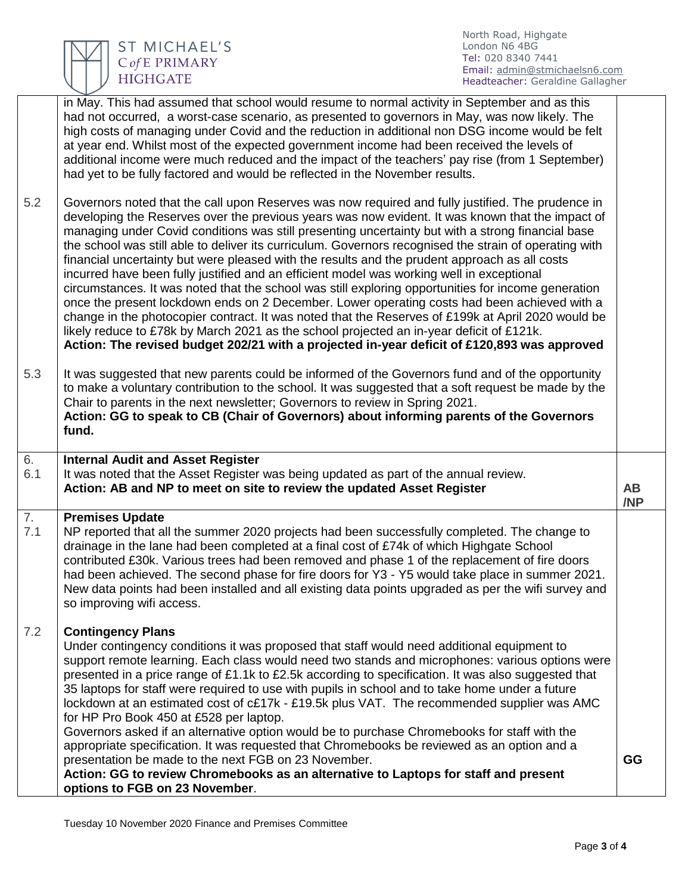ST MICHAEL'S C of E PRIMARY **HIGHGATE** 

North Road, Highgate London N6 4BG Tel: 020 8340 7441 Email: [admin@stmichaelsn6.com](mailto:admin@stmichaelsn6.com) Headteacher: Geraldine Gallagher

|           | in May. This had assumed that school would resume to normal activity in September and as this<br>had not occurred, a worst-case scenario, as presented to governors in May, was now likely. The<br>high costs of managing under Covid and the reduction in additional non DSG income would be felt<br>at year end. Whilst most of the expected government income had been received the levels of<br>additional income were much reduced and the impact of the teachers' pay rise (from 1 September)<br>had yet to be fully factored and would be reflected in the November results.                                                                                                                                                                                                                                                                                                                                                                                                                                                                                                                                        |                  |
|-----------|----------------------------------------------------------------------------------------------------------------------------------------------------------------------------------------------------------------------------------------------------------------------------------------------------------------------------------------------------------------------------------------------------------------------------------------------------------------------------------------------------------------------------------------------------------------------------------------------------------------------------------------------------------------------------------------------------------------------------------------------------------------------------------------------------------------------------------------------------------------------------------------------------------------------------------------------------------------------------------------------------------------------------------------------------------------------------------------------------------------------------|------------------|
| 5.2       | Governors noted that the call upon Reserves was now required and fully justified. The prudence in<br>developing the Reserves over the previous years was now evident. It was known that the impact of<br>managing under Covid conditions was still presenting uncertainty but with a strong financial base<br>the school was still able to deliver its curriculum. Governors recognised the strain of operating with<br>financial uncertainty but were pleased with the results and the prudent approach as all costs<br>incurred have been fully justified and an efficient model was working well in exceptional<br>circumstances. It was noted that the school was still exploring opportunities for income generation<br>once the present lockdown ends on 2 December. Lower operating costs had been achieved with a<br>change in the photocopier contract. It was noted that the Reserves of £199k at April 2020 would be<br>likely reduce to £78k by March 2021 as the school projected an in-year deficit of £121k.<br>Action: The revised budget 202/21 with a projected in-year deficit of £120,893 was approved |                  |
| 5.3       | It was suggested that new parents could be informed of the Governors fund and of the opportunity<br>to make a voluntary contribution to the school. It was suggested that a soft request be made by the<br>Chair to parents in the next newsletter; Governors to review in Spring 2021.<br>Action: GG to speak to CB (Chair of Governors) about informing parents of the Governors<br>fund.                                                                                                                                                                                                                                                                                                                                                                                                                                                                                                                                                                                                                                                                                                                                |                  |
| 6.<br>6.1 | <b>Internal Audit and Asset Register</b><br>It was noted that the Asset Register was being updated as part of the annual review.<br>Action: AB and NP to meet on site to review the updated Asset Register                                                                                                                                                                                                                                                                                                                                                                                                                                                                                                                                                                                                                                                                                                                                                                                                                                                                                                                 | <b>AB</b><br>/NP |
| 7.<br>7.1 | <b>Premises Update</b><br>NP reported that all the summer 2020 projects had been successfully completed. The change to<br>drainage in the lane had been completed at a final cost of £74k of which Highgate School<br>contributed £30k. Various trees had been removed and phase 1 of the replacement of fire doors<br>had been achieved. The second phase for fire doors for Y3 - Y5 would take place in summer 2021.<br>New data points had been installed and all existing data points upgraded as per the wifi survey and<br>so improving wifi access.                                                                                                                                                                                                                                                                                                                                                                                                                                                                                                                                                                 |                  |
| 7.2       | <b>Contingency Plans</b><br>Under contingency conditions it was proposed that staff would need additional equipment to<br>support remote learning. Each class would need two stands and microphones: various options were<br>presented in a price range of £1.1k to £2.5k according to specification. It was also suggested that<br>35 laptops for staff were required to use with pupils in school and to take home under a future<br>lockdown at an estimated cost of c£17k - £19.5k plus VAT. The recommended supplier was AMC<br>for HP Pro Book 450 at £528 per laptop.<br>Governors asked if an alternative option would be to purchase Chromebooks for staff with the<br>appropriate specification. It was requested that Chromebooks be reviewed as an option and a                                                                                                                                                                                                                                                                                                                                                |                  |
|           | presentation be made to the next FGB on 23 November.<br>Action: GG to review Chromebooks as an alternative to Laptops for staff and present<br>options to FGB on 23 November.                                                                                                                                                                                                                                                                                                                                                                                                                                                                                                                                                                                                                                                                                                                                                                                                                                                                                                                                              | GG               |